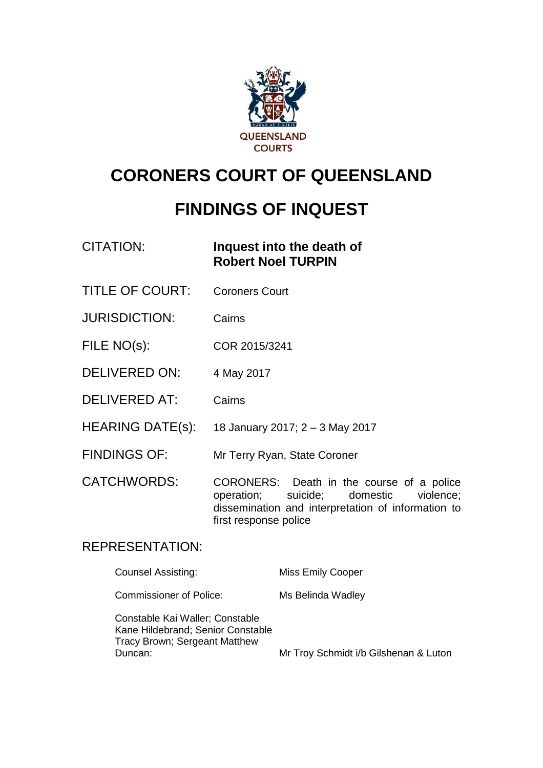

# **CORONERS COURT OF QUEENSLAND**

# **FINDINGS OF INQUEST**

## CITATION: **Inquest into the death of Robert Noel TURPIN**

- TITLE OF COURT: Coroners Court
- JURISDICTION: Cairns
- FILE NO(s): COR 2015/3241
- DELIVERED ON: 4 May 2017
- DELIVERED AT: Cairns
- HEARING DATE(s): 18 January 2017; 2 3 May 2017
- FINDINGS OF: Mr Terry Ryan, State Coroner

CATCHWORDS: CORONERS: Death in the course of a police operation; suicide; domestic violence; dissemination and interpretation of information to first response police

## REPRESENTATION:

| Counsel Assisting:                                                                                               | <b>Miss Emily Cooper</b>              |
|------------------------------------------------------------------------------------------------------------------|---------------------------------------|
| <b>Commissioner of Police:</b>                                                                                   | Ms Belinda Wadley                     |
| Constable Kai Waller; Constable<br>Kane Hildebrand; Senior Constable<br>Tracy Brown; Sergeant Matthew<br>Duncan: | Mr Troy Schmidt i/b Gilshenan & Luton |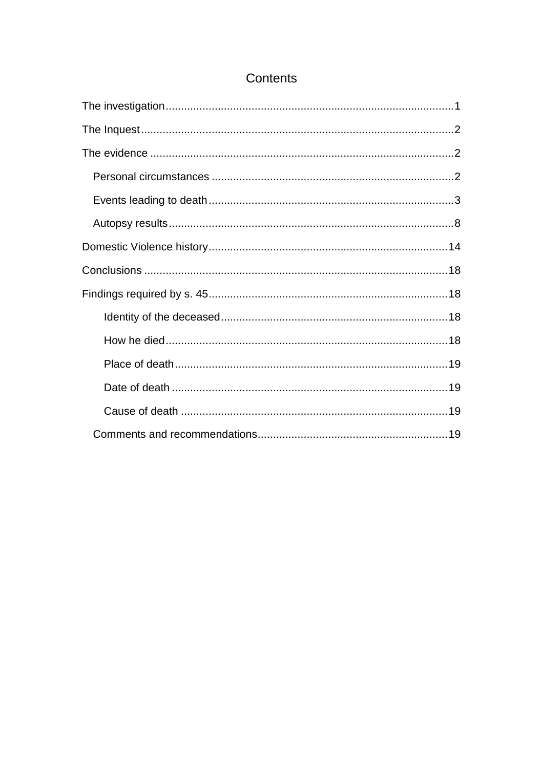## Contents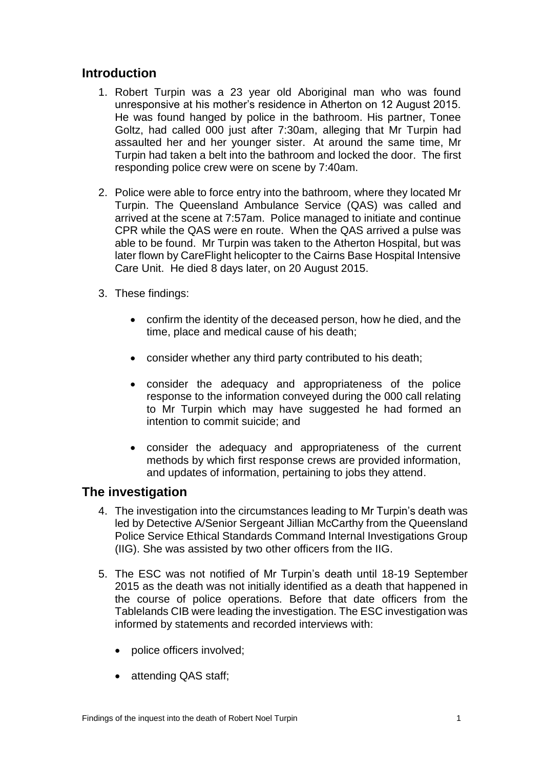## **Introduction**

- 1. Robert Turpin was a 23 year old Aboriginal man who was found unresponsive at his mother's residence in Atherton on 12 August 2015. He was found hanged by police in the bathroom. His partner, Tonee Goltz, had called 000 just after 7:30am, alleging that Mr Turpin had assaulted her and her younger sister. At around the same time, Mr Turpin had taken a belt into the bathroom and locked the door. The first responding police crew were on scene by 7:40am.
- 2. Police were able to force entry into the bathroom, where they located Mr Turpin. The Queensland Ambulance Service (QAS) was called and arrived at the scene at 7:57am. Police managed to initiate and continue CPR while the QAS were en route. When the QAS arrived a pulse was able to be found. Mr Turpin was taken to the Atherton Hospital, but was later flown by CareFlight helicopter to the Cairns Base Hospital Intensive Care Unit. He died 8 days later, on 20 August 2015.
- 3. These findings:
	- confirm the identity of the deceased person, how he died, and the time, place and medical cause of his death;
	- consider whether any third party contributed to his death;
	- consider the adequacy and appropriateness of the police response to the information conveyed during the 000 call relating to Mr Turpin which may have suggested he had formed an intention to commit suicide; and
	- consider the adequacy and appropriateness of the current methods by which first response crews are provided information, and updates of information, pertaining to jobs they attend.

## <span id="page-2-0"></span>**The investigation**

- 4. The investigation into the circumstances leading to Mr Turpin's death was led by Detective A/Senior Sergeant Jillian McCarthy from the Queensland Police Service Ethical Standards Command Internal Investigations Group (IIG). She was assisted by two other officers from the IIG.
- 5. The ESC was not notified of Mr Turpin's death until 18-19 September 2015 as the death was not initially identified as a death that happened in the course of police operations. Before that date officers from the Tablelands CIB were leading the investigation. The ESC investigation was informed by statements and recorded interviews with:
	- police officers involved;
	- attending QAS staff;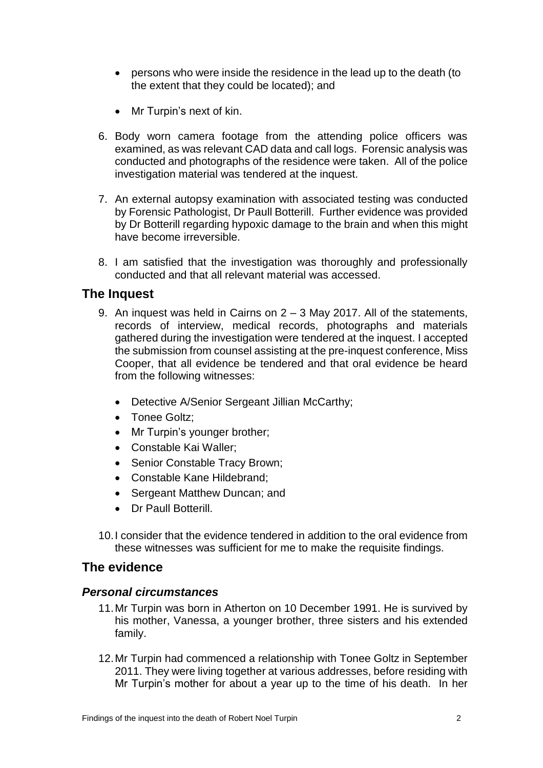- persons who were inside the residence in the lead up to the death (to the extent that they could be located); and
- Mr Turpin's next of kin.
- 6. Body worn camera footage from the attending police officers was examined, as was relevant CAD data and call logs. Forensic analysis was conducted and photographs of the residence were taken. All of the police investigation material was tendered at the inquest.
- 7. An external autopsy examination with associated testing was conducted by Forensic Pathologist, Dr Paull Botterill. Further evidence was provided by Dr Botterill regarding hypoxic damage to the brain and when this might have become irreversible.
- 8. I am satisfied that the investigation was thoroughly and professionally conducted and that all relevant material was accessed.

### <span id="page-3-0"></span>**The Inquest**

- 9. An inquest was held in Cairns on 2 3 May 2017. All of the statements, records of interview, medical records, photographs and materials gathered during the investigation were tendered at the inquest. I accepted the submission from counsel assisting at the pre-inquest conference, Miss Cooper, that all evidence be tendered and that oral evidence be heard from the following witnesses:
	- Detective A/Senior Sergeant Jillian McCarthy;
	- Tonee Goltz:
	- Mr Turpin's younger brother;
	- Constable Kai Waller;
	- Senior Constable Tracy Brown;
	- Constable Kane Hildebrand;
	- Sergeant Matthew Duncan; and
	- Dr Paull Botterill.
- 10.I consider that the evidence tendered in addition to the oral evidence from these witnesses was sufficient for me to make the requisite findings.

## <span id="page-3-1"></span>**The evidence**

#### <span id="page-3-2"></span>*Personal circumstances*

- 11.Mr Turpin was born in Atherton on 10 December 1991. He is survived by his mother, Vanessa, a younger brother, three sisters and his extended family.
- 12.Mr Turpin had commenced a relationship with Tonee Goltz in September 2011. They were living together at various addresses, before residing with Mr Turpin's mother for about a year up to the time of his death. In her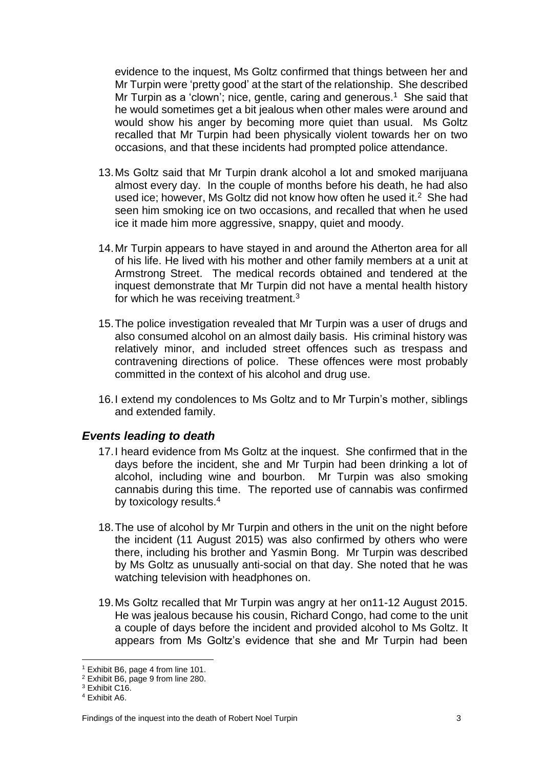evidence to the inquest, Ms Goltz confirmed that things between her and Mr Turpin were 'pretty good' at the start of the relationship. She described Mr Turpin as a 'clown'; nice, gentle, caring and generous.<sup>1</sup> She said that he would sometimes get a bit jealous when other males were around and would show his anger by becoming more quiet than usual. Ms Goltz recalled that Mr Turpin had been physically violent towards her on two occasions, and that these incidents had prompted police attendance.

- 13.Ms Goltz said that Mr Turpin drank alcohol a lot and smoked marijuana almost every day. In the couple of months before his death, he had also used ice; however, Ms Goltz did not know how often he used it. $<sup>2</sup>$  She had</sup> seen him smoking ice on two occasions, and recalled that when he used ice it made him more aggressive, snappy, quiet and moody.
- 14.Mr Turpin appears to have stayed in and around the Atherton area for all of his life. He lived with his mother and other family members at a unit at Armstrong Street. The medical records obtained and tendered at the inquest demonstrate that Mr Turpin did not have a mental health history for which he was receiving treatment. $3$
- 15.The police investigation revealed that Mr Turpin was a user of drugs and also consumed alcohol on an almost daily basis. His criminal history was relatively minor, and included street offences such as trespass and contravening directions of police. These offences were most probably committed in the context of his alcohol and drug use.
- 16.I extend my condolences to Ms Goltz and to Mr Turpin's mother, siblings and extended family.

#### <span id="page-4-0"></span>*Events leading to death*

- 17.I heard evidence from Ms Goltz at the inquest. She confirmed that in the days before the incident, she and Mr Turpin had been drinking a lot of alcohol, including wine and bourbon. Mr Turpin was also smoking cannabis during this time. The reported use of cannabis was confirmed by toxicology results.<sup>4</sup>
- 18.The use of alcohol by Mr Turpin and others in the unit on the night before the incident (11 August 2015) was also confirmed by others who were there, including his brother and Yasmin Bong. Mr Turpin was described by Ms Goltz as unusually anti-social on that day. She noted that he was watching television with headphones on.
- 19.Ms Goltz recalled that Mr Turpin was angry at her on11-12 August 2015. He was jealous because his cousin, Richard Congo, had come to the unit a couple of days before the incident and provided alcohol to Ms Goltz. It appears from Ms Goltz's evidence that she and Mr Turpin had been

 $\overline{a}$ <sup>1</sup> Exhibit B6, page 4 from line 101.

<sup>2</sup> Exhibit B6, page 9 from line 280.

<sup>3</sup> Exhibit C16.

<sup>4</sup> Exhibit A6.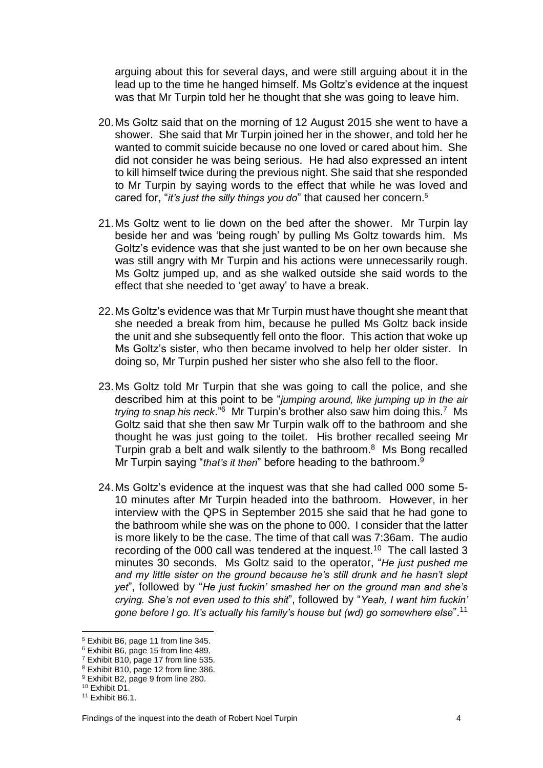arguing about this for several days, and were still arguing about it in the lead up to the time he hanged himself. Ms Goltz's evidence at the inquest was that Mr Turpin told her he thought that she was going to leave him.

- 20.Ms Goltz said that on the morning of 12 August 2015 she went to have a shower. She said that Mr Turpin joined her in the shower, and told her he wanted to commit suicide because no one loved or cared about him. She did not consider he was being serious. He had also expressed an intent to kill himself twice during the previous night. She said that she responded to Mr Turpin by saying words to the effect that while he was loved and cared for, "*it's just the silly things you do*" that caused her concern.<sup>5</sup>
- 21.Ms Goltz went to lie down on the bed after the shower. Mr Turpin lay beside her and was 'being rough' by pulling Ms Goltz towards him. Ms Goltz's evidence was that she just wanted to be on her own because she was still angry with Mr Turpin and his actions were unnecessarily rough. Ms Goltz jumped up, and as she walked outside she said words to the effect that she needed to 'get away' to have a break.
- 22.Ms Goltz's evidence was that Mr Turpin must have thought she meant that she needed a break from him, because he pulled Ms Goltz back inside the unit and she subsequently fell onto the floor. This action that woke up Ms Goltz's sister, who then became involved to help her older sister. In doing so, Mr Turpin pushed her sister who she also fell to the floor.
- 23.Ms Goltz told Mr Turpin that she was going to call the police, and she described him at this point to be "*jumping around, like jumping up in the air*  trying to snap his neck.<sup>"6</sup> Mr Turpin's brother also saw him doing this.<sup>7</sup> Ms Goltz said that she then saw Mr Turpin walk off to the bathroom and she thought he was just going to the toilet. His brother recalled seeing Mr Turpin grab a belt and walk silently to the bathroom. 8 Ms Bong recalled Mr Turpin saying "*that's it then*" before heading to the bathroom.<sup>9</sup>
- 24.Ms Goltz's evidence at the inquest was that she had called 000 some 5- 10 minutes after Mr Turpin headed into the bathroom. However, in her interview with the QPS in September 2015 she said that he had gone to the bathroom while she was on the phone to 000. I consider that the latter is more likely to be the case. The time of that call was 7:36am. The audio recording of the 000 call was tendered at the inquest.<sup>10</sup> The call lasted 3 minutes 30 seconds. Ms Goltz said to the operator, "*He just pushed me and my little sister on the ground because he's still drunk and he hasn't slept yet*", followed by "*He just fuckin' smashed her on the ground man and she's crying. She's not even used to this shit*", followed by "*Yeah, I want him fuckin' gone before I go. It's actually his family's house but (wd) go somewhere else*".<sup>11</sup>

 $\overline{a}$ 

<sup>5</sup> Exhibit B6, page 11 from line 345.

<sup>6</sup> Exhibit B6, page 15 from line 489.

<sup>7</sup> Exhibit B10, page 17 from line 535.

<sup>8</sup> Exhibit B10, page 12 from line 386.

<sup>9</sup> Exhibit B2, page 9 from line 280.

<sup>10</sup> Exhibit D1.

<sup>11</sup> Exhibit B6.1.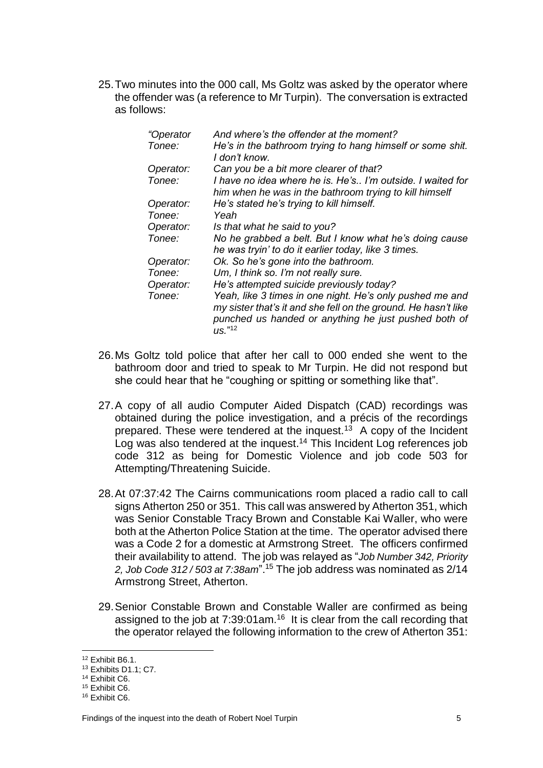25.Two minutes into the 000 call, Ms Goltz was asked by the operator where the offender was (a reference to Mr Turpin). The conversation is extracted as follows:

| "Operator | And where's the offender at the moment?                                                                              |
|-----------|----------------------------------------------------------------------------------------------------------------------|
| Tonee:    | He's in the bathroom trying to hang himself or some shit.<br>I don't know.                                           |
| Operator: | Can you be a bit more clearer of that?                                                                               |
| Tonee:    | I have no idea where he is. He's I'm outside. I waited for<br>him when he was in the bathroom trying to kill himself |
| Operator: | He's stated he's trying to kill himself.                                                                             |
| Tonee:    | Yeah                                                                                                                 |
| Operator: | Is that what he said to you?                                                                                         |
| Tonee:    | No he grabbed a belt. But I know what he's doing cause<br>he was tryin' to do it earlier today, like 3 times.        |
| Operator: | Ok. So he's gone into the bathroom.                                                                                  |
| Tonee:    | Um, I think so. I'm not really sure.                                                                                 |
| Operator: | He's attempted suicide previously today?                                                                             |
| Tonee:    | Yeah, like 3 times in one night. He's only pushed me and                                                             |
|           | my sister that's it and she fell on the ground. He hasn't like                                                       |
|           | punched us handed or anything he just pushed both of<br>US. <sup>"12</sup>                                           |

- 26.Ms Goltz told police that after her call to 000 ended she went to the bathroom door and tried to speak to Mr Turpin. He did not respond but she could hear that he "coughing or spitting or something like that".
- 27.A copy of all audio Computer Aided Dispatch (CAD) recordings was obtained during the police investigation, and a précis of the recordings prepared. These were tendered at the inquest.<sup>13</sup> A copy of the Incident Log was also tendered at the inquest. <sup>14</sup> This Incident Log references job code 312 as being for Domestic Violence and job code 503 for Attempting/Threatening Suicide.
- 28.At 07:37:42 The Cairns communications room placed a radio call to call signs Atherton 250 or 351. This call was answered by Atherton 351, which was Senior Constable Tracy Brown and Constable Kai Waller, who were both at the Atherton Police Station at the time. The operator advised there was a Code 2 for a domestic at Armstrong Street. The officers confirmed their availability to attend. The job was relayed as "*Job Number 342, Priority 2, Job Code 312 / 503 at 7:38am*".<sup>15</sup> The job address was nominated as 2/14 Armstrong Street, Atherton.
- 29.Senior Constable Brown and Constable Waller are confirmed as being assigned to the job at  $7:39:01$  am.<sup>16</sup> It is clear from the call recording that the operator relayed the following information to the crew of Atherton 351:

 $\overline{a}$ 

<sup>12</sup> Exhibit B6.1.

<sup>13</sup> Exhibits D1.1; C7.

<sup>14</sup> Exhibit C6.

<sup>15</sup> Exhibit C6.

<sup>16</sup> Exhibit C6.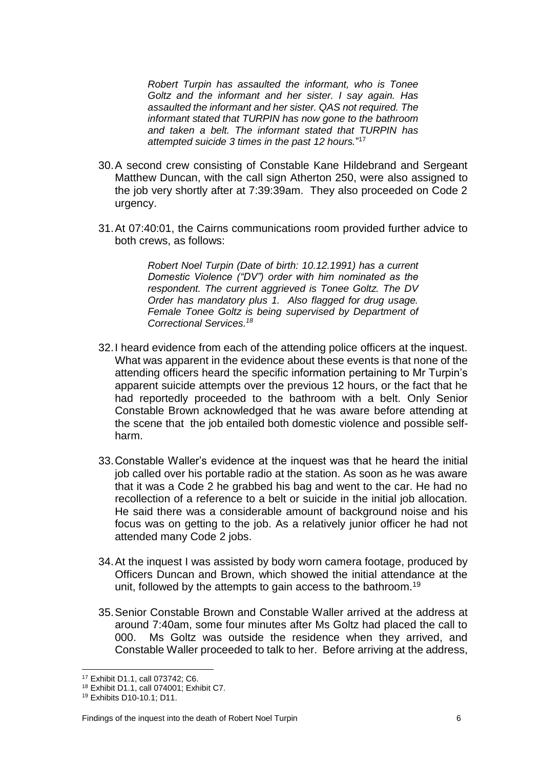*Robert Turpin has assaulted the informant, who is Tonee Goltz and the informant and her sister. I say again. Has assaulted the informant and her sister. QAS not required. The informant stated that TURPIN has now gone to the bathroom and taken a belt. The informant stated that TURPIN has attempted suicide 3 times in the past 12 hours.*" 17

- 30.A second crew consisting of Constable Kane Hildebrand and Sergeant Matthew Duncan, with the call sign Atherton 250, were also assigned to the job very shortly after at 7:39:39am. They also proceeded on Code 2 urgency.
- 31.At 07:40:01, the Cairns communications room provided further advice to both crews, as follows:

*Robert Noel Turpin (Date of birth: 10.12.1991) has a current Domestic Violence ("DV") order with him nominated as the respondent. The current aggrieved is Tonee Goltz. The DV Order has mandatory plus 1. Also flagged for drug usage. Female Tonee Goltz is being supervised by Department of Correctional Services.<sup>18</sup>*

- 32.I heard evidence from each of the attending police officers at the inquest. What was apparent in the evidence about these events is that none of the attending officers heard the specific information pertaining to Mr Turpin's apparent suicide attempts over the previous 12 hours, or the fact that he had reportedly proceeded to the bathroom with a belt. Only Senior Constable Brown acknowledged that he was aware before attending at the scene that the job entailed both domestic violence and possible selfharm.
- 33.Constable Waller's evidence at the inquest was that he heard the initial job called over his portable radio at the station. As soon as he was aware that it was a Code 2 he grabbed his bag and went to the car. He had no recollection of a reference to a belt or suicide in the initial job allocation. He said there was a considerable amount of background noise and his focus was on getting to the job. As a relatively junior officer he had not attended many Code 2 jobs.
- 34.At the inquest I was assisted by body worn camera footage, produced by Officers Duncan and Brown, which showed the initial attendance at the unit, followed by the attempts to gain access to the bathroom.<sup>19</sup>
- 35.Senior Constable Brown and Constable Waller arrived at the address at around 7:40am, some four minutes after Ms Goltz had placed the call to 000. Ms Goltz was outside the residence when they arrived, and Constable Waller proceeded to talk to her. Before arriving at the address,

 $\overline{a}$ <sup>17</sup> Exhibit D1.1, call 073742; C6.

<sup>18</sup> Exhibit D1.1, call 074001; Exhibit C7.

<sup>19</sup> Exhibits D10-10.1; D11.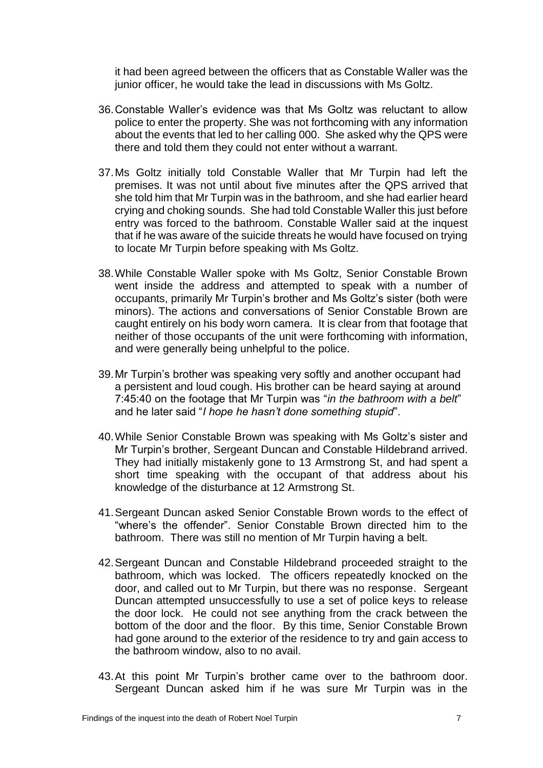it had been agreed between the officers that as Constable Waller was the junior officer, he would take the lead in discussions with Ms Goltz.

- 36.Constable Waller's evidence was that Ms Goltz was reluctant to allow police to enter the property. She was not forthcoming with any information about the events that led to her calling 000. She asked why the QPS were there and told them they could not enter without a warrant.
- 37.Ms Goltz initially told Constable Waller that Mr Turpin had left the premises. It was not until about five minutes after the QPS arrived that she told him that Mr Turpin was in the bathroom, and she had earlier heard crying and choking sounds. She had told Constable Waller this just before entry was forced to the bathroom. Constable Waller said at the inquest that if he was aware of the suicide threats he would have focused on trying to locate Mr Turpin before speaking with Ms Goltz.
- 38.While Constable Waller spoke with Ms Goltz, Senior Constable Brown went inside the address and attempted to speak with a number of occupants, primarily Mr Turpin's brother and Ms Goltz's sister (both were minors). The actions and conversations of Senior Constable Brown are caught entirely on his body worn camera. It is clear from that footage that neither of those occupants of the unit were forthcoming with information, and were generally being unhelpful to the police.
- 39.Mr Turpin's brother was speaking very softly and another occupant had a persistent and loud cough. His brother can be heard saying at around 7:45:40 on the footage that Mr Turpin was "*in the bathroom with a belt*" and he later said "*I hope he hasn't done something stupid*".
- 40.While Senior Constable Brown was speaking with Ms Goltz's sister and Mr Turpin's brother, Sergeant Duncan and Constable Hildebrand arrived. They had initially mistakenly gone to 13 Armstrong St, and had spent a short time speaking with the occupant of that address about his knowledge of the disturbance at 12 Armstrong St.
- 41.Sergeant Duncan asked Senior Constable Brown words to the effect of "where's the offender". Senior Constable Brown directed him to the bathroom. There was still no mention of Mr Turpin having a belt.
- 42.Sergeant Duncan and Constable Hildebrand proceeded straight to the bathroom, which was locked. The officers repeatedly knocked on the door, and called out to Mr Turpin, but there was no response. Sergeant Duncan attempted unsuccessfully to use a set of police keys to release the door lock. He could not see anything from the crack between the bottom of the door and the floor. By this time, Senior Constable Brown had gone around to the exterior of the residence to try and gain access to the bathroom window, also to no avail.
- 43.At this point Mr Turpin's brother came over to the bathroom door. Sergeant Duncan asked him if he was sure Mr Turpin was in the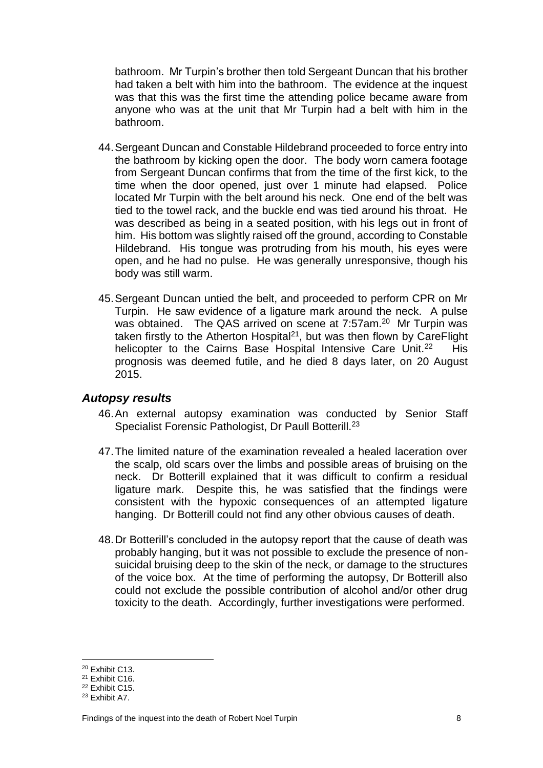bathroom. Mr Turpin's brother then told Sergeant Duncan that his brother had taken a belt with him into the bathroom. The evidence at the inquest was that this was the first time the attending police became aware from anyone who was at the unit that Mr Turpin had a belt with him in the bathroom.

- 44.Sergeant Duncan and Constable Hildebrand proceeded to force entry into the bathroom by kicking open the door. The body worn camera footage from Sergeant Duncan confirms that from the time of the first kick, to the time when the door opened, just over 1 minute had elapsed. Police located Mr Turpin with the belt around his neck. One end of the belt was tied to the towel rack, and the buckle end was tied around his throat. He was described as being in a seated position, with his legs out in front of him. His bottom was slightly raised off the ground, according to Constable Hildebrand. His tongue was protruding from his mouth, his eyes were open, and he had no pulse. He was generally unresponsive, though his body was still warm.
- 45.Sergeant Duncan untied the belt, and proceeded to perform CPR on Mr Turpin. He saw evidence of a ligature mark around the neck. A pulse was obtained. The QAS arrived on scene at 7:57am.<sup>20</sup> Mr Turpin was taken firstly to the Atherton Hospital<sup>21</sup>, but was then flown by CareFlight helicopter to the Cairns Base Hospital Intensive Care Unit.<sup>22</sup> His prognosis was deemed futile, and he died 8 days later, on 20 August 2015.

#### <span id="page-9-0"></span>*Autopsy results*

- 46.An external autopsy examination was conducted by Senior Staff Specialist Forensic Pathologist, Dr Paull Botterill.<sup>23</sup>
- 47.The limited nature of the examination revealed a healed laceration over the scalp, old scars over the limbs and possible areas of bruising on the neck. Dr Botterill explained that it was difficult to confirm a residual ligature mark. Despite this, he was satisfied that the findings were consistent with the hypoxic consequences of an attempted ligature hanging. Dr Botterill could not find any other obvious causes of death.
- 48.Dr Botterill's concluded in the autopsy report that the cause of death was probably hanging, but it was not possible to exclude the presence of nonsuicidal bruising deep to the skin of the neck, or damage to the structures of the voice box. At the time of performing the autopsy, Dr Botterill also could not exclude the possible contribution of alcohol and/or other drug toxicity to the death. Accordingly, further investigations were performed.

<sup>20</sup> Exhibit C13.

<sup>21</sup> Exhibit C16.

<sup>22</sup> Exhibit C15.

<sup>23</sup> Exhibit A7.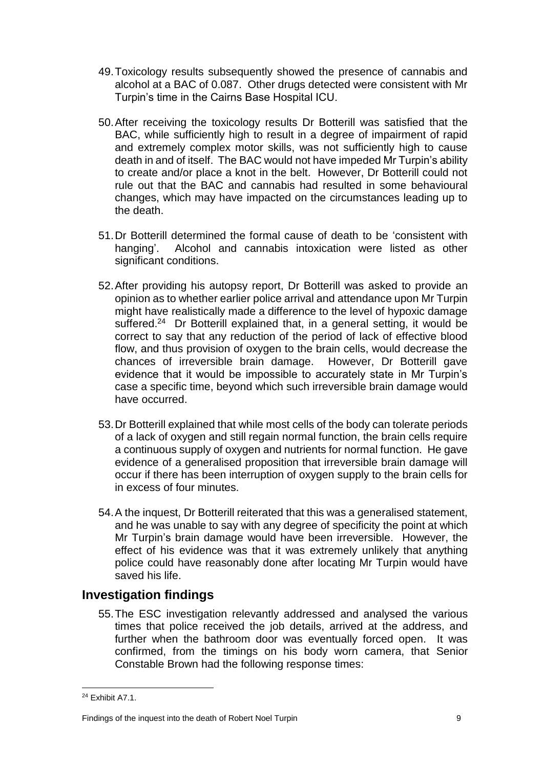- 49.Toxicology results subsequently showed the presence of cannabis and alcohol at a BAC of 0.087. Other drugs detected were consistent with Mr Turpin's time in the Cairns Base Hospital ICU.
- 50.After receiving the toxicology results Dr Botterill was satisfied that the BAC, while sufficiently high to result in a degree of impairment of rapid and extremely complex motor skills, was not sufficiently high to cause death in and of itself. The BAC would not have impeded Mr Turpin's ability to create and/or place a knot in the belt. However, Dr Botterill could not rule out that the BAC and cannabis had resulted in some behavioural changes, which may have impacted on the circumstances leading up to the death.
- 51.Dr Botterill determined the formal cause of death to be 'consistent with hanging'. Alcohol and cannabis intoxication were listed as other significant conditions.
- 52.After providing his autopsy report, Dr Botterill was asked to provide an opinion as to whether earlier police arrival and attendance upon Mr Turpin might have realistically made a difference to the level of hypoxic damage suffered.<sup>24</sup> Dr Botterill explained that, in a general setting, it would be correct to say that any reduction of the period of lack of effective blood flow, and thus provision of oxygen to the brain cells, would decrease the chances of irreversible brain damage. However, Dr Botterill gave evidence that it would be impossible to accurately state in Mr Turpin's case a specific time, beyond which such irreversible brain damage would have occurred.
- 53.Dr Botterill explained that while most cells of the body can tolerate periods of a lack of oxygen and still regain normal function, the brain cells require a continuous supply of oxygen and nutrients for normal function. He gave evidence of a generalised proposition that irreversible brain damage will occur if there has been interruption of oxygen supply to the brain cells for in excess of four minutes.
- 54.A the inquest, Dr Botterill reiterated that this was a generalised statement, and he was unable to say with any degree of specificity the point at which Mr Turpin's brain damage would have been irreversible. However, the effect of his evidence was that it was extremely unlikely that anything police could have reasonably done after locating Mr Turpin would have saved his life.

## **Investigation findings**

55.The ESC investigation relevantly addressed and analysed the various times that police received the job details, arrived at the address, and further when the bathroom door was eventually forced open. It was confirmed, from the timings on his body worn camera, that Senior Constable Brown had the following response times:

 $\overline{\phantom{a}}$ <sup>24</sup> Exhibit A7.1.

Findings of the inquest into the death of Robert Noel Turpin 9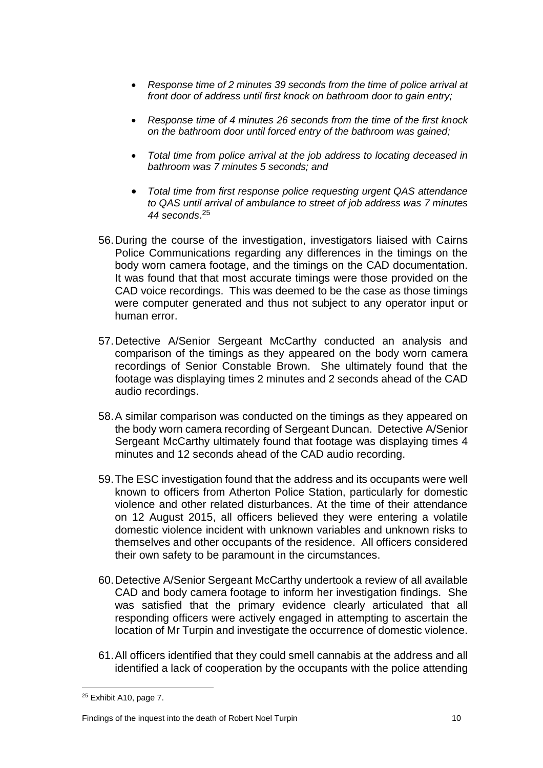- *Response time of 2 minutes 39 seconds from the time of police arrival at front door of address until first knock on bathroom door to gain entry;*
- *Response time of 4 minutes 26 seconds from the time of the first knock on the bathroom door until forced entry of the bathroom was gained;*
- *Total time from police arrival at the job address to locating deceased in bathroom was 7 minutes 5 seconds; and*
- *Total time from first response police requesting urgent QAS attendance to QAS until arrival of ambulance to street of job address was 7 minutes 44 seconds*. 25
- 56.During the course of the investigation, investigators liaised with Cairns Police Communications regarding any differences in the timings on the body worn camera footage, and the timings on the CAD documentation. It was found that that most accurate timings were those provided on the CAD voice recordings. This was deemed to be the case as those timings were computer generated and thus not subject to any operator input or human error.
- 57.Detective A/Senior Sergeant McCarthy conducted an analysis and comparison of the timings as they appeared on the body worn camera recordings of Senior Constable Brown. She ultimately found that the footage was displaying times 2 minutes and 2 seconds ahead of the CAD audio recordings.
- 58.A similar comparison was conducted on the timings as they appeared on the body worn camera recording of Sergeant Duncan. Detective A/Senior Sergeant McCarthy ultimately found that footage was displaying times 4 minutes and 12 seconds ahead of the CAD audio recording.
- 59.The ESC investigation found that the address and its occupants were well known to officers from Atherton Police Station, particularly for domestic violence and other related disturbances. At the time of their attendance on 12 August 2015, all officers believed they were entering a volatile domestic violence incident with unknown variables and unknown risks to themselves and other occupants of the residence. All officers considered their own safety to be paramount in the circumstances.
- 60.Detective A/Senior Sergeant McCarthy undertook a review of all available CAD and body camera footage to inform her investigation findings. She was satisfied that the primary evidence clearly articulated that all responding officers were actively engaged in attempting to ascertain the location of Mr Turpin and investigate the occurrence of domestic violence.
- 61.All officers identified that they could smell cannabis at the address and all identified a lack of cooperation by the occupants with the police attending

 $\overline{\phantom{a}}$  $25$  Exhibit A10, page 7.

Findings of the inquest into the death of Robert Noel Turpin 10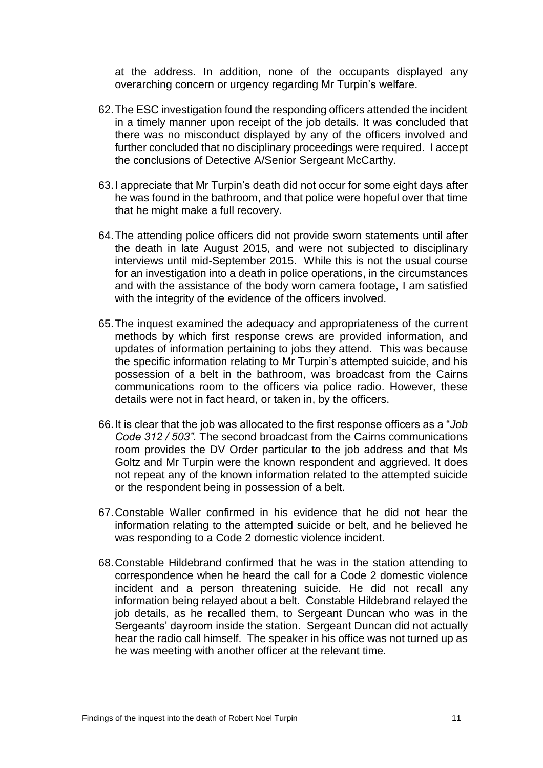at the address. In addition, none of the occupants displayed any overarching concern or urgency regarding Mr Turpin's welfare.

- 62.The ESC investigation found the responding officers attended the incident in a timely manner upon receipt of the job details. It was concluded that there was no misconduct displayed by any of the officers involved and further concluded that no disciplinary proceedings were required. I accept the conclusions of Detective A/Senior Sergeant McCarthy.
- 63.I appreciate that Mr Turpin's death did not occur for some eight days after he was found in the bathroom, and that police were hopeful over that time that he might make a full recovery.
- 64.The attending police officers did not provide sworn statements until after the death in late August 2015, and were not subjected to disciplinary interviews until mid-September 2015. While this is not the usual course for an investigation into a death in police operations, in the circumstances and with the assistance of the body worn camera footage, I am satisfied with the integrity of the evidence of the officers involved.
- 65.The inquest examined the adequacy and appropriateness of the current methods by which first response crews are provided information, and updates of information pertaining to jobs they attend. This was because the specific information relating to Mr Turpin's attempted suicide, and his possession of a belt in the bathroom, was broadcast from the Cairns communications room to the officers via police radio. However, these details were not in fact heard, or taken in, by the officers.
- 66.It is clear that the job was allocated to the first response officers as a "*Job Code 312 / 503".* The second broadcast from the Cairns communications room provides the DV Order particular to the job address and that Ms Goltz and Mr Turpin were the known respondent and aggrieved. It does not repeat any of the known information related to the attempted suicide or the respondent being in possession of a belt.
- 67.Constable Waller confirmed in his evidence that he did not hear the information relating to the attempted suicide or belt, and he believed he was responding to a Code 2 domestic violence incident.
- 68.Constable Hildebrand confirmed that he was in the station attending to correspondence when he heard the call for a Code 2 domestic violence incident and a person threatening suicide. He did not recall any information being relayed about a belt. Constable Hildebrand relayed the job details, as he recalled them, to Sergeant Duncan who was in the Sergeants' dayroom inside the station. Sergeant Duncan did not actually hear the radio call himself. The speaker in his office was not turned up as he was meeting with another officer at the relevant time.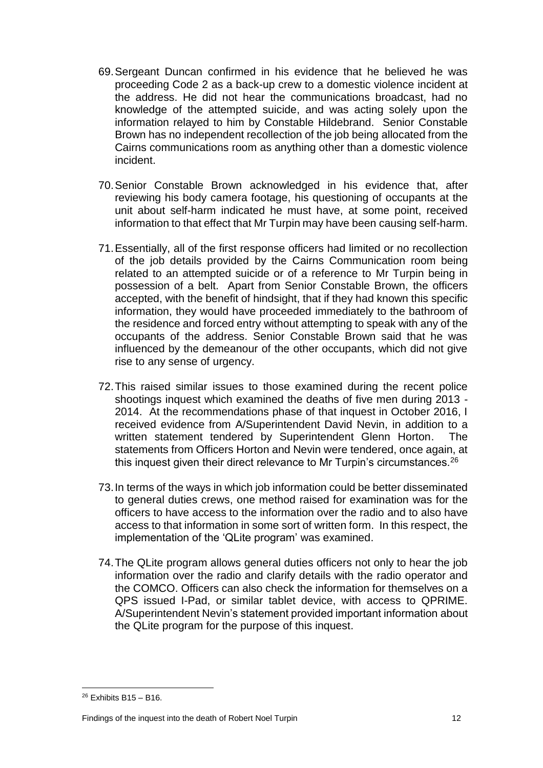- 69.Sergeant Duncan confirmed in his evidence that he believed he was proceeding Code 2 as a back-up crew to a domestic violence incident at the address. He did not hear the communications broadcast, had no knowledge of the attempted suicide, and was acting solely upon the information relayed to him by Constable Hildebrand. Senior Constable Brown has no independent recollection of the job being allocated from the Cairns communications room as anything other than a domestic violence incident.
- 70.Senior Constable Brown acknowledged in his evidence that, after reviewing his body camera footage, his questioning of occupants at the unit about self-harm indicated he must have, at some point, received information to that effect that Mr Turpin may have been causing self-harm.
- 71.Essentially, all of the first response officers had limited or no recollection of the job details provided by the Cairns Communication room being related to an attempted suicide or of a reference to Mr Turpin being in possession of a belt. Apart from Senior Constable Brown, the officers accepted, with the benefit of hindsight, that if they had known this specific information, they would have proceeded immediately to the bathroom of the residence and forced entry without attempting to speak with any of the occupants of the address. Senior Constable Brown said that he was influenced by the demeanour of the other occupants, which did not give rise to any sense of urgency.
- 72.This raised similar issues to those examined during the recent police shootings inquest which examined the deaths of five men during 2013 - 2014. At the recommendations phase of that inquest in October 2016, I received evidence from A/Superintendent David Nevin, in addition to a written statement tendered by Superintendent Glenn Horton. The statements from Officers Horton and Nevin were tendered, once again, at this inquest given their direct relevance to Mr Turpin's circumstances.<sup>26</sup>
- 73.In terms of the ways in which job information could be better disseminated to general duties crews, one method raised for examination was for the officers to have access to the information over the radio and to also have access to that information in some sort of written form. In this respect, the implementation of the 'QLite program' was examined.
- 74.The QLite program allows general duties officers not only to hear the job information over the radio and clarify details with the radio operator and the COMCO. Officers can also check the information for themselves on a QPS issued I-Pad, or similar tablet device, with access to QPRIME. A/Superintendent Nevin's statement provided important information about the QLite program for the purpose of this inquest.

 $26$  Exhibits B15 – B16.

Findings of the inquest into the death of Robert Noel Turpin 12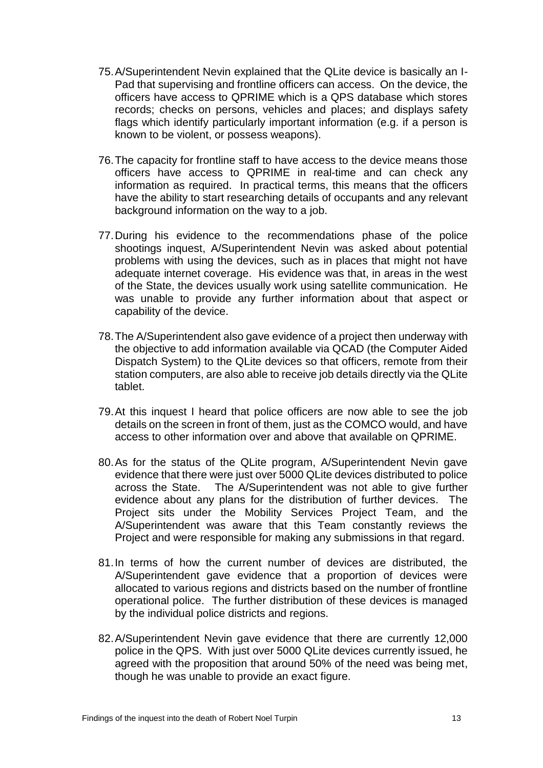- 75.A/Superintendent Nevin explained that the QLite device is basically an I-Pad that supervising and frontline officers can access. On the device, the officers have access to QPRIME which is a QPS database which stores records; checks on persons, vehicles and places; and displays safety flags which identify particularly important information (e.g. if a person is known to be violent, or possess weapons).
- 76.The capacity for frontline staff to have access to the device means those officers have access to QPRIME in real-time and can check any information as required. In practical terms, this means that the officers have the ability to start researching details of occupants and any relevant background information on the way to a job.
- 77.During his evidence to the recommendations phase of the police shootings inquest, A/Superintendent Nevin was asked about potential problems with using the devices, such as in places that might not have adequate internet coverage. His evidence was that, in areas in the west of the State, the devices usually work using satellite communication. He was unable to provide any further information about that aspect or capability of the device.
- 78.The A/Superintendent also gave evidence of a project then underway with the objective to add information available via QCAD (the Computer Aided Dispatch System) to the QLite devices so that officers, remote from their station computers, are also able to receive job details directly via the QLite tablet.
- 79.At this inquest I heard that police officers are now able to see the job details on the screen in front of them, just as the COMCO would, and have access to other information over and above that available on QPRIME.
- 80.As for the status of the QLite program, A/Superintendent Nevin gave evidence that there were just over 5000 QLite devices distributed to police across the State. The A/Superintendent was not able to give further evidence about any plans for the distribution of further devices. The Project sits under the Mobility Services Project Team, and the A/Superintendent was aware that this Team constantly reviews the Project and were responsible for making any submissions in that regard.
- 81.In terms of how the current number of devices are distributed, the A/Superintendent gave evidence that a proportion of devices were allocated to various regions and districts based on the number of frontline operational police. The further distribution of these devices is managed by the individual police districts and regions.
- 82.A/Superintendent Nevin gave evidence that there are currently 12,000 police in the QPS. With just over 5000 QLite devices currently issued, he agreed with the proposition that around 50% of the need was being met, though he was unable to provide an exact figure.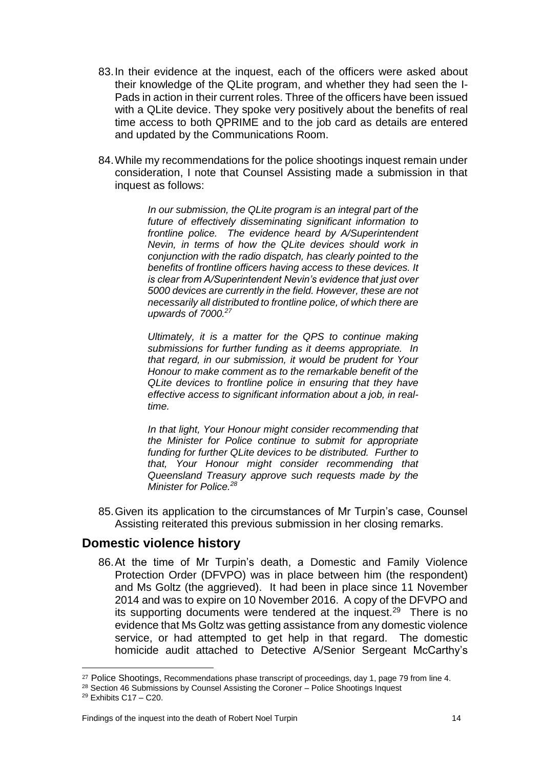- 83.In their evidence at the inquest, each of the officers were asked about their knowledge of the QLite program, and whether they had seen the I-Pads in action in their current roles. Three of the officers have been issued with a QLite device. They spoke very positively about the benefits of real time access to both QPRIME and to the job card as details are entered and updated by the Communications Room.
- 84.While my recommendations for the police shootings inquest remain under consideration, I note that Counsel Assisting made a submission in that inquest as follows:

*In our submission, the QLite program is an integral part of the future of effectively disseminating significant information to frontline police. The evidence heard by A/Superintendent Nevin, in terms of how the QLite devices should work in conjunction with the radio dispatch, has clearly pointed to the benefits of frontline officers having access to these devices. It is clear from A/Superintendent Nevin's evidence that just over 5000 devices are currently in the field. However, these are not necessarily all distributed to frontline police, of which there are upwards of 7000.<sup>27</sup>* 

*Ultimately, it is a matter for the QPS to continue making submissions for further funding as it deems appropriate. In that regard, in our submission, it would be prudent for Your Honour to make comment as to the remarkable benefit of the QLite devices to frontline police in ensuring that they have effective access to significant information about a job, in realtime.* 

*In that light, Your Honour might consider recommending that the Minister for Police continue to submit for appropriate funding for further QLite devices to be distributed. Further to that, Your Honour might consider recommending that Queensland Treasury approve such requests made by the Minister for Police.<sup>28</sup>*

85.Given its application to the circumstances of Mr Turpin's case, Counsel Assisting reiterated this previous submission in her closing remarks.

#### <span id="page-15-0"></span>**Domestic violence history**

86.At the time of Mr Turpin's death, a Domestic and Family Violence Protection Order (DFVPO) was in place between him (the respondent) and Ms Goltz (the aggrieved). It had been in place since 11 November 2014 and was to expire on 10 November 2016. A copy of the DFVPO and its supporting documents were tendered at the inquest.<sup>29</sup> There is no evidence that Ms Goltz was getting assistance from any domestic violence service, or had attempted to get help in that regard. The domestic homicide audit attached to Detective A/Senior Sergeant McCarthy's

<sup>&</sup>lt;sup>27</sup> Police Shootings, Recommendations phase transcript of proceedings, day 1, page 79 from line 4.

<sup>&</sup>lt;sup>28</sup> Section 46 Submissions by Counsel Assisting the Coroner – Police Shootings Inquest

<sup>29</sup> Exhibits C17 – C20.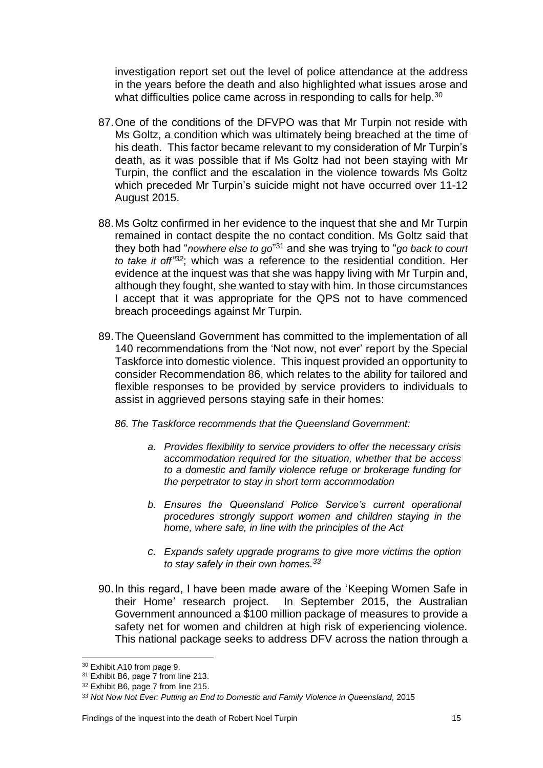investigation report set out the level of police attendance at the address in the years before the death and also highlighted what issues arose and what difficulties police came across in responding to calls for help.<sup>30</sup>

- 87.One of the conditions of the DFVPO was that Mr Turpin not reside with Ms Goltz, a condition which was ultimately being breached at the time of his death. This factor became relevant to my consideration of Mr Turpin's death, as it was possible that if Ms Goltz had not been staying with Mr Turpin, the conflict and the escalation in the violence towards Ms Goltz which preceded Mr Turpin's suicide might not have occurred over 11-12 August 2015.
- 88.Ms Goltz confirmed in her evidence to the inquest that she and Mr Turpin remained in contact despite the no contact condition. Ms Goltz said that they both had "*nowhere else to go*" <sup>31</sup> and she was trying to "*go back to court to take it off" <sup>32</sup>*; which was a reference to the residential condition. Her evidence at the inquest was that she was happy living with Mr Turpin and, although they fought, she wanted to stay with him. In those circumstances I accept that it was appropriate for the QPS not to have commenced breach proceedings against Mr Turpin.
- 89.The Queensland Government has committed to the implementation of all 140 recommendations from the 'Not now, not ever' report by the Special Taskforce into domestic violence. This inquest provided an opportunity to consider Recommendation 86, which relates to the ability for tailored and flexible responses to be provided by service providers to individuals to assist in aggrieved persons staying safe in their homes:
	- *86. The Taskforce recommends that the Queensland Government:*
		- *a. Provides flexibility to service providers to offer the necessary crisis accommodation required for the situation, whether that be access to a domestic and family violence refuge or brokerage funding for the perpetrator to stay in short term accommodation*
		- *b. Ensures the Queensland Police Service's current operational procedures strongly support women and children staying in the home, where safe, in line with the principles of the Act*
		- *c. Expands safety upgrade programs to give more victims the option to stay safely in their own homes. 33*
- 90.In this regard, I have been made aware of the 'Keeping Women Safe in their Home' research project. In September 2015, the Australian Government announced a \$100 million package of measures to provide a safety net for women and children at high risk of experiencing violence. This national package seeks to address DFV across the nation through a

 $\overline{\phantom{a}}$ <sup>30</sup> Exhibit A10 from page 9.

<sup>&</sup>lt;sup>31</sup> Exhibit B6, page 7 from line 213.

<sup>32</sup> Exhibit B6, page 7 from line 215.

<sup>&</sup>lt;sup>33</sup> Not Now Not Ever: Putting an End to Domestic and Family Violence in Queensland, 2015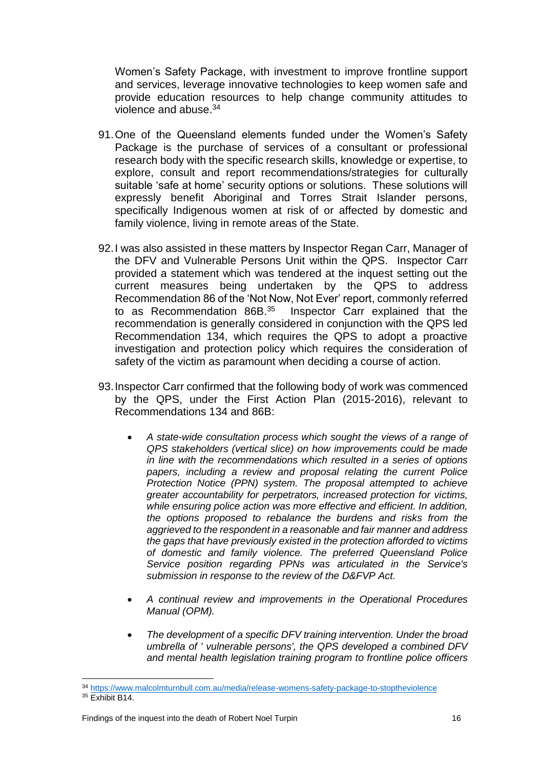Women's Safety Package, with investment to improve frontline support and services, leverage innovative technologies to keep women safe and provide education resources to help change community attitudes to violence and abuse.<sup>34</sup>

- 91.One of the Queensland elements funded under the Women's Safety Package is the purchase of services of a consultant or professional research body with the specific research skills, knowledge or expertise, to explore, consult and report recommendations/strategies for culturally suitable 'safe at home' security options or solutions. These solutions will expressly benefit Aboriginal and Torres Strait Islander persons, specifically Indigenous women at risk of or affected by domestic and family violence, living in remote areas of the State.
- 92.I was also assisted in these matters by Inspector Regan Carr, Manager of the DFV and Vulnerable Persons Unit within the QPS. Inspector Carr provided a statement which was tendered at the inquest setting out the current measures being undertaken by the QPS to address Recommendation 86 of the 'Not Now, Not Ever' report, commonly referred to as Recommendation 86B.<sup>35</sup> Inspector Carr explained that the recommendation is generally considered in conjunction with the QPS led Recommendation 134, which requires the QPS to adopt a proactive investigation and protection policy which requires the consideration of safety of the victim as paramount when deciding a course of action.
- 93.Inspector Carr confirmed that the following body of work was commenced by the QPS, under the First Action Plan (2015-2016), relevant to Recommendations 134 and 86B:
	- *A state-wide consultation process which sought the views of a range of QPS stakeholders (vertical slice) on how improvements could be made in line with the recommendations which resulted in a series of options papers, including a review and proposal relating the current Police Protection Notice (PPN) system. The proposal attempted to achieve greater accountability for perpetrators, increased protection for victims, while ensuring police action was more effective and efficient. In addition, the options proposed to rebalance the burdens and risks from the aggrieved to the respondent in a reasonable and fair manner and address the gaps that have previously existed in the protection afforded to victims of domestic and family violence. The preferred Queensland Police Service position regarding PPNs was articulated in the Service's submission in response to the review of the D&FVP Act.*
	- *A continual review and improvements in the Operational Procedures Manual (OPM).*
	- *The development of a specific DFV training intervention. Under the broad umbrella of ' vulnerable persons', the QPS developed a combined DFV and mental health legislation training program to frontline police officers*

<sup>34</sup> <https://www.malcolmturnbull.com.au/media/release-womens-safety-package-to-stoptheviolence>  $35$  Exhibit B14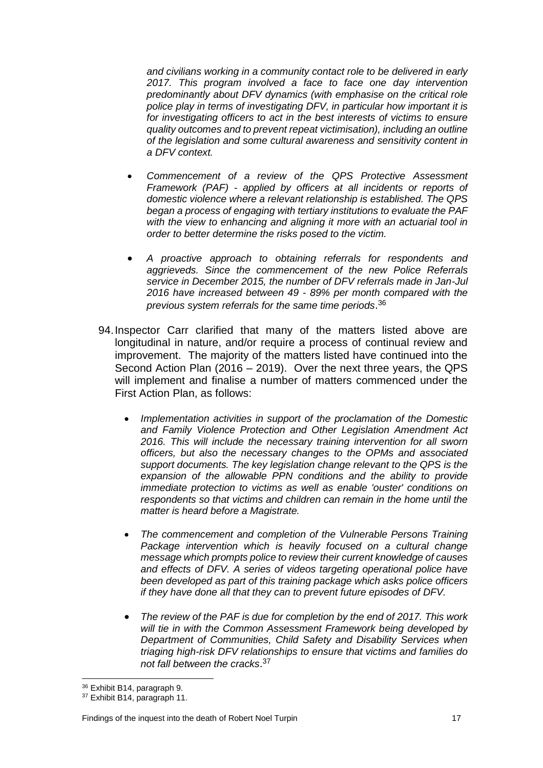*and civilians working in a community contact role to be delivered in early 2017. This program involved a face to face one day intervention predominantly about DFV dynamics (with emphasise on the critical role police play in terms of investigating DFV, in particular how important it is for investigating officers to act in the best interests of victims to ensure quality outcomes and to prevent repeat victimisation), including an outline of the legislation and some cultural awareness and sensitivity content in a DFV context.*

- *Commencement of a review of the QPS Protective Assessment Framework (PAF) - applied by officers at all incidents or reports of domestic violence where a relevant relationship is established. The QPS began a process of engaging with tertiary institutions to evaluate the PAF with the view to enhancing and aligning it more with an actuarial tool in order to better determine the risks posed to the victim.*
- *A proactive approach to obtaining referrals for respondents and aggrieveds. Since the commencement of the new Police Referrals service in December 2015, the number of DFV referrals made in Jan-Jul 2016 have increased between 49 - 89% per month compared with the previous system referrals for the same time periods*. 36
- 94.Inspector Carr clarified that many of the matters listed above are longitudinal in nature, and/or require a process of continual review and improvement. The majority of the matters listed have continued into the Second Action Plan (2016 – 2019). Over the next three years, the QPS will implement and finalise a number of matters commenced under the First Action Plan, as follows:
	- *Implementation activities in support of the proclamation of the Domestic and Family Violence Protection and Other Legislation Amendment Act 2016. This will include the necessary training intervention for all sworn officers, but also the necessary changes to the OPMs and associated support documents. The key legislation change relevant to the QPS is the expansion of the allowable PPN conditions and the ability to provide immediate protection to victims as well as enable 'ouster' conditions on respondents so that victims and children can remain in the home until the matter is heard before a Magistrate.*
	- *The commencement and completion of the Vulnerable Persons Training*  Package intervention which is heavily focused on a cultural change *message which prompts police to review their current knowledge of causes and effects of DFV. A series of videos targeting operational police have been developed as part of this training package which asks police officers if they have done all that they can to prevent future episodes of DFV.*
	- *The review of the PAF is due for completion by the end of 2017. This work will tie in with the Common Assessment Framework being developed by Department of Communities, Child Safety and Disability Services when triaging high-risk DFV relationships to ensure that victims and families do not fall between the cracks*. 37

<sup>36</sup> Exhibit B14, paragraph 9.

<sup>37</sup> Exhibit B14, paragraph 11.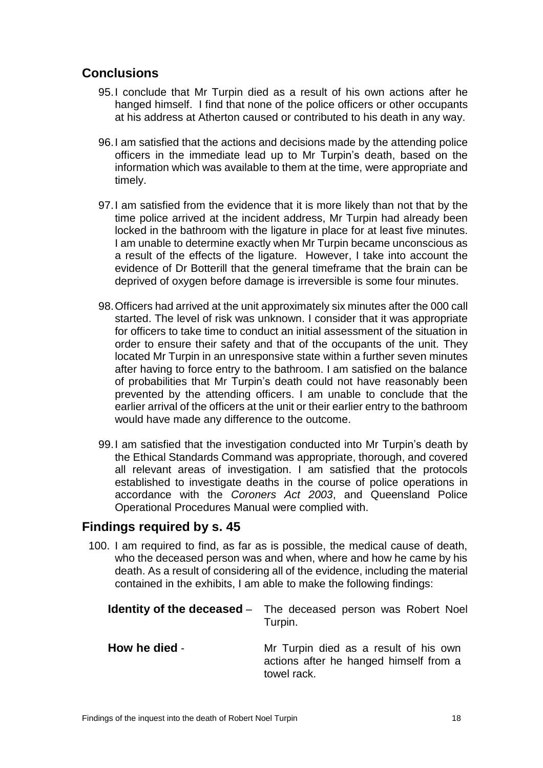## <span id="page-19-0"></span>**Conclusions**

- 95.I conclude that Mr Turpin died as a result of his own actions after he hanged himself. I find that none of the police officers or other occupants at his address at Atherton caused or contributed to his death in any way.
- 96.I am satisfied that the actions and decisions made by the attending police officers in the immediate lead up to Mr Turpin's death, based on the information which was available to them at the time, were appropriate and timely.
- 97.I am satisfied from the evidence that it is more likely than not that by the time police arrived at the incident address, Mr Turpin had already been locked in the bathroom with the ligature in place for at least five minutes. I am unable to determine exactly when Mr Turpin became unconscious as a result of the effects of the ligature. However, I take into account the evidence of Dr Botterill that the general timeframe that the brain can be deprived of oxygen before damage is irreversible is some four minutes.
- 98.Officers had arrived at the unit approximately six minutes after the 000 call started. The level of risk was unknown. I consider that it was appropriate for officers to take time to conduct an initial assessment of the situation in order to ensure their safety and that of the occupants of the unit. They located Mr Turpin in an unresponsive state within a further seven minutes after having to force entry to the bathroom. I am satisfied on the balance of probabilities that Mr Turpin's death could not have reasonably been prevented by the attending officers. I am unable to conclude that the earlier arrival of the officers at the unit or their earlier entry to the bathroom would have made any difference to the outcome.
- 99.I am satisfied that the investigation conducted into Mr Turpin's death by the Ethical Standards Command was appropriate, thorough, and covered all relevant areas of investigation. I am satisfied that the protocols established to investigate deaths in the course of police operations in accordance with the *Coroners Act 2003*, and Queensland Police Operational Procedures Manual were complied with.

#### <span id="page-19-1"></span>**Findings required by s. 45**

100. I am required to find, as far as is possible, the medical cause of death, who the deceased person was and when, where and how he came by his death. As a result of considering all of the evidence, including the material contained in the exhibits, I am able to make the following findings:

<span id="page-19-3"></span><span id="page-19-2"></span>

|               | <b>Identity of the deceased</b> – The deceased person was Robert Noel<br>Turpin.               |
|---------------|------------------------------------------------------------------------------------------------|
| How he died - | Mr Turpin died as a result of his own<br>actions after he hanged himself from a<br>towel rack. |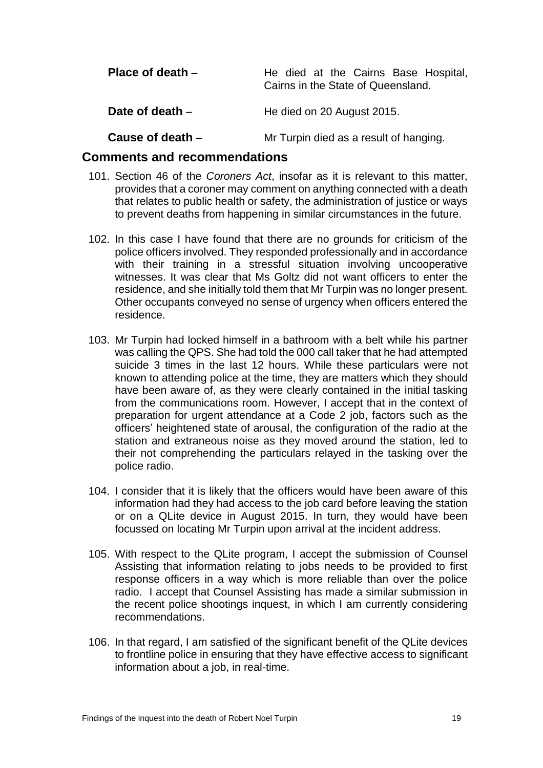<span id="page-20-0"></span>

| Place of death $-$ | He died at the Cairns Base Hospital,<br>Cairns in the State of Queensland. |
|--------------------|----------------------------------------------------------------------------|
| Date of death $-$  | He died on 20 August 2015.                                                 |
| Cause of death -   | Mr Turpin died as a result of hanging.                                     |

#### <span id="page-20-3"></span><span id="page-20-2"></span><span id="page-20-1"></span>**Comments and recommendations**

- 101. Section 46 of the *Coroners Act*, insofar as it is relevant to this matter, provides that a coroner may comment on anything connected with a death that relates to public health or safety, the administration of justice or ways to prevent deaths from happening in similar circumstances in the future.
- 102. In this case I have found that there are no grounds for criticism of the police officers involved. They responded professionally and in accordance with their training in a stressful situation involving uncooperative witnesses. It was clear that Ms Goltz did not want officers to enter the residence, and she initially told them that Mr Turpin was no longer present. Other occupants conveyed no sense of urgency when officers entered the residence.
- 103. Mr Turpin had locked himself in a bathroom with a belt while his partner was calling the QPS. She had told the 000 call taker that he had attempted suicide 3 times in the last 12 hours. While these particulars were not known to attending police at the time, they are matters which they should have been aware of, as they were clearly contained in the initial tasking from the communications room. However, I accept that in the context of preparation for urgent attendance at a Code 2 job, factors such as the officers' heightened state of arousal, the configuration of the radio at the station and extraneous noise as they moved around the station, led to their not comprehending the particulars relayed in the tasking over the police radio.
- 104. I consider that it is likely that the officers would have been aware of this information had they had access to the job card before leaving the station or on a QLite device in August 2015. In turn, they would have been focussed on locating Mr Turpin upon arrival at the incident address.
- 105. With respect to the QLite program, I accept the submission of Counsel Assisting that information relating to jobs needs to be provided to first response officers in a way which is more reliable than over the police radio. I accept that Counsel Assisting has made a similar submission in the recent police shootings inquest, in which I am currently considering recommendations.
- 106. In that regard, I am satisfied of the significant benefit of the QLite devices to frontline police in ensuring that they have effective access to significant information about a job, in real-time.